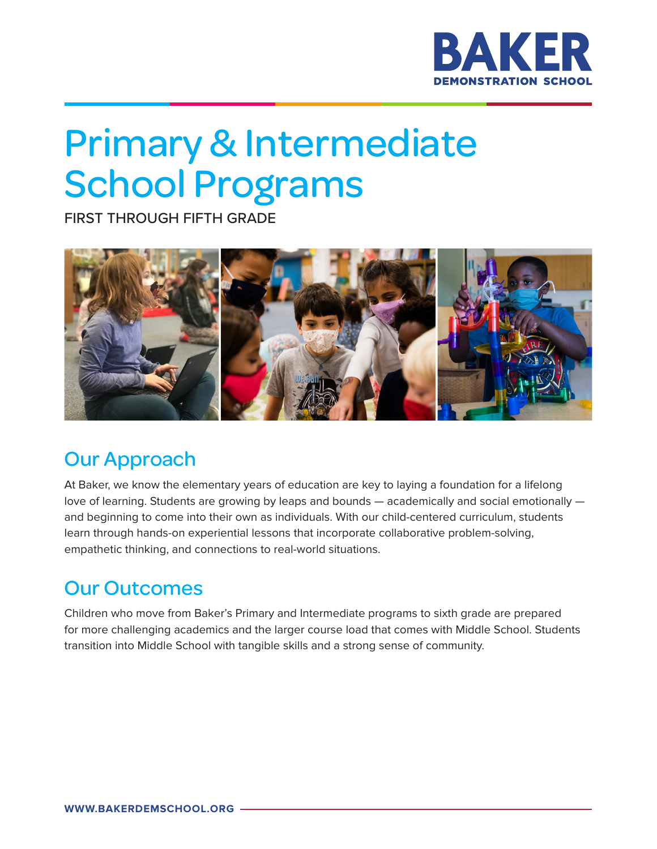

# Primary & Intermediate School Programs

FIRST THROUGH FIFTH GRADE



### Our Approach

At Baker, we know the elementary years of education are key to laying a foundation for a lifelong love of learning. Students are growing by leaps and bounds — academically and social emotionally and beginning to come into their own as individuals. With our child-centered curriculum, students learn through hands-on experiential lessons that incorporate collaborative problem-solving, empathetic thinking, and connections to real-world situations.

#### Our Outcomes

Children who move from Baker's Primary and Intermediate programs to sixth grade are prepared for more challenging academics and the larger course load that comes with Middle School. Students transition into Middle School with tangible skills and a strong sense of community.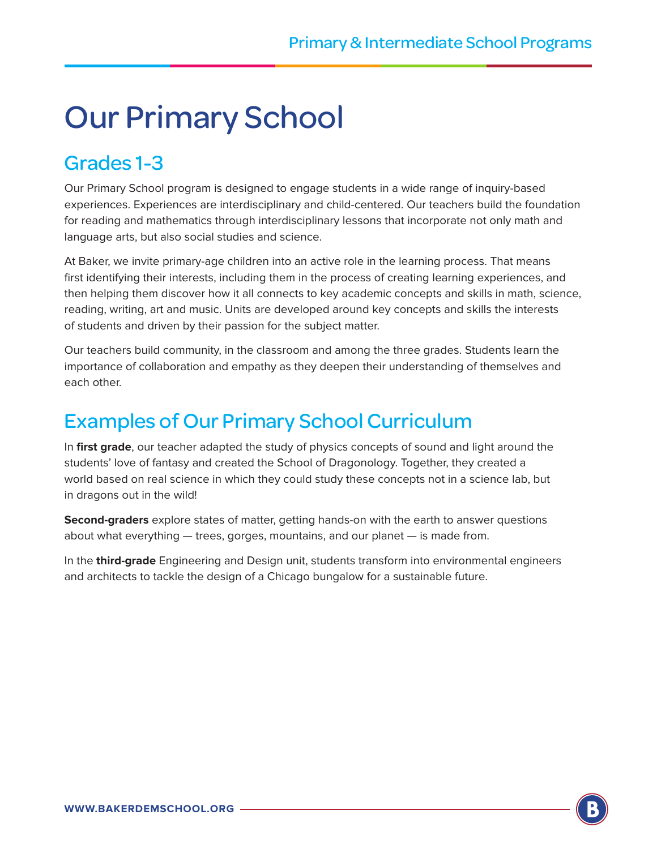## Our Primary School

#### Grades 1-3

Our Primary School program is designed to engage students in a wide range of inquiry-based experiences. Experiences are interdisciplinary and child-centered. Our teachers build the foundation for reading and mathematics through interdisciplinary lessons that incorporate not only math and language arts, but also social studies and science.

At Baker, we invite primary-age children into an active role in the learning process. That means first identifying their interests, including them in the process of creating learning experiences, and then helping them discover how it all connects to key academic concepts and skills in math, science, reading, writing, art and music. Units are developed around key concepts and skills the interests of students and driven by their passion for the subject matter.

Our teachers build community, in the classroom and among the three grades. Students learn the importance of collaboration and empathy as they deepen their understanding of themselves and each other.

#### Examples of Our Primary School Curriculum

In **first grade**, our teacher adapted the study of physics concepts of sound and light around the students' love of fantasy and created the School of Dragonology. Together, they created a world based on real science in which they could study these concepts not in a science lab, but in dragons out in the wild!

**Second-graders** explore states of matter, getting hands-on with the earth to answer questions about what everything — trees, gorges, mountains, and our planet — is made from.

In the **third-grade** Engineering and Design unit, students transform into environmental engineers and architects to tackle the design of a Chicago bungalow for a sustainable future.